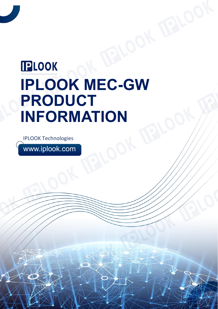# **IPLOOK IPLOOK MEC-GW PRODUCT INFORMATION**

IPLOOK Technologies

www.iplook.com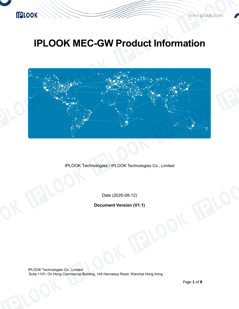

### **IPLOOK MEC-GW Product Information**



IPLOOK Technologies / IPLOOK Technologies Co., Limited

Date (2020-08-12)

**Document Version (V1.1)**

IPLOOK Technologies Co., Limited Suite 1101, On Hong Commercial Building, 145 Hennessy Road, Wanchai Hong Kong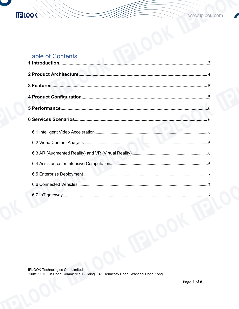## **IPLOOK**

### **Table of Contents**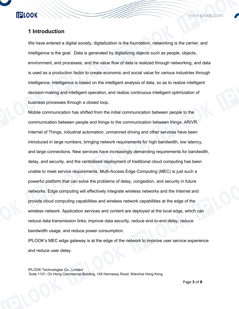**IPLOOK** 

www.iplook.com

#### <span id="page-3-0"></span>**1 Introduction**

We have entered a digital society, digitalization is the foundation, networking is the carrier, and intelligence is the goal. Data is generated by digitalizing objects such as people, objects, environment, and processes, and the value flow of data is realized through networking, and data is used as a production factor to create economic and social value for various industries through intelligence. Intelligence is based on the intelligent analysis of data, so as to realize intelligent decision-making and intelligent operation, and realize continuous intelligent optimization of business processes through a closed loop.

Mobile communication has shifted from the initial communication between people to the communication between people and things to the communication between things. AR/VR, Internet of Things, industrial automation, unmanned driving and other services have been introduced in large numbers, bringing network requirements for high bandwidth, low latency, and large connections. New services have increasingly demanding requirements for bandwidth, delay, and security, and the centralized deployment of traditional cloud computing has been unable to meet service requirements. Multi-Access Edge Computing (MEC) is just such a powerful platform that can solve the problems of delay, congestion, and security in future networks. Edge computing will effectively integrate wireless networks and the Internet and provide cloud computing capabilities and wireless network capabilities at the edge of the wireless network. Application services and content are deployed at the local edge, which can reduce data transmission links, improve data security, reduce end-to-end delay, reduce bandwidth usage, and reduce power consumption.

IPLOOK's MEC edge gateway is at the edge of the network to improve user service experience and reduce user delay.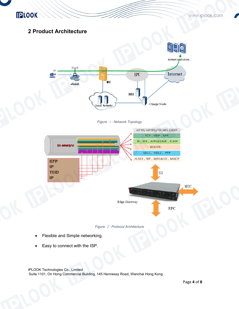

#### <span id="page-4-0"></span>**2 Product Architecture**



*Figure* <sup>1</sup>*: Network Topology*





- Flexible and Simple networking.
- Easy to connect with the ISP.

IPLOOK Technologies Co., Limited

Suite 1101, On Hong Commercial Building, 145 Hennessy Road, Wanchai Hong Kong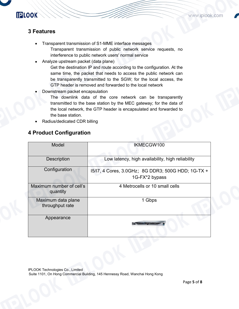#### <span id="page-5-0"></span>**3 Features**

**IPLOOK** 

- Transparent transmission of S1-MME interface messages Transparent transmission of public network service requests, no interference to public network users' normal service
- Analyze upstream packet (data plane)

Get the destination IP and route according to the configuration. At the same time, the packet that needs to access the public network can be transparently transmitted to the SGW; for the local access, the GTP header is removed and forwarded to the local network

Downstream packet encapsulation

The downlink data of the core network can be transparently transmitted to the base station by the MEC gateway; for the data of the local network, the GTP header is encapsulated and forwarded to the base station.

Radius/dedicated CDR billing

#### <span id="page-5-1"></span>**4 Product Configuration**

| Model                                 | IKMECGW100                                                           |
|---------------------------------------|----------------------------------------------------------------------|
| <b>Description</b>                    | Low latency, high availability, high reliability                     |
| Configuration                         | 15/17, 4 Cores, 3.0GHz; 8G DDR3; 500G HDD; 1G-TX +<br>1G-FX*2 bypass |
| Maximum number of cell's<br>quantity  | 4 Metrocells or 10 small cells                                       |
| Maximum data plane<br>throughput rate | 1 Gbps                                                               |
| Appearance                            |                                                                      |
|                                       |                                                                      |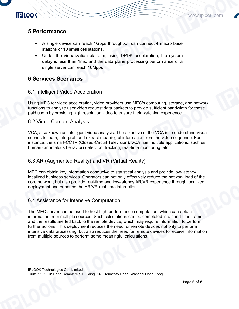

#### <span id="page-6-0"></span>**5 Performance**

**IPLOOK** 

- A single device can reach 1Gbps throughput, can connect 4 macro base stations or 10 small cell stations.
- Under the virtualization platform, using DPDK acceleration, the system delay is less than 1ms, and the data plane processing performance of a single server can reach 16Mpps

#### <span id="page-6-1"></span>**6 Services Scenarios**

#### <span id="page-6-2"></span>6.1 Intelligent Video Acceleration

Using MEC for video acceleration, video providers use MEC's computing, storage, and network functions to analyze user video request data packets to provide sufficient bandwidth for those paid users by providing high resolution video to ensure their watching experience.

#### <span id="page-6-3"></span>6.2 Video Content Analysis

VCA, also known as intelligent video analysis. The objective of the VCA is to understand visual scenes to learn, interpret, and extract meaningful information from the video sequence. For instance, the smart-CCTV (Closed-Circuit Television). VCA has multiple applications, such us human (anomalous behavior) detection, tracking, real-time monitoring, etc.

#### <span id="page-6-4"></span>6.3 AR (Augmented Reality) and VR (Virtual Reality)

MEC can obtain key information conducive to statistical analysis and provide low-latency localized business services. Operators can not only effectively reduce the network load of the core network, but also provide real-time and low-latency AR/VR experience through localized deployment and enhance the AR/VR real-time interaction.

#### <span id="page-6-5"></span>6.4 Assistance for Intensive Computation

The MEC server can be used to host high-performance computation, which can obtain information from multiple sources. Such calculations can be completed in a short time frame, and the results are fed back to the remote device, which may require information to perform further actions. This deployment reduces the need for remote devices notonly to perform intensive data processing, but also reduces the need for remote devices to receive information from multiple sources to perform some meaningful calculations.